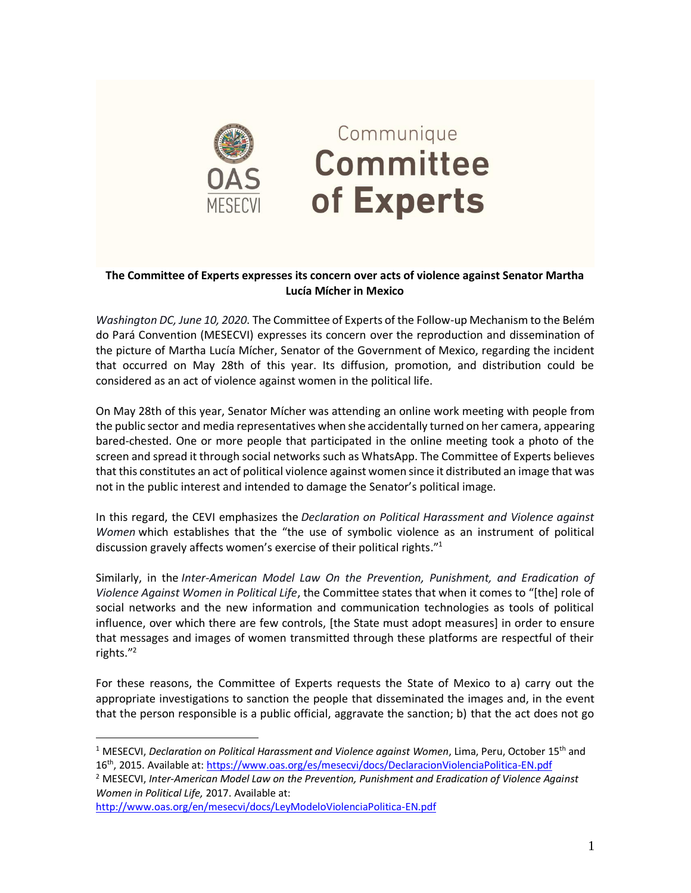

## Communique **Committee** of Experts

## **The Committee of Experts expresses its concern over acts of violence against Senator Martha Lucía Mícher in Mexico**

*Washington DC, June 10, 2020*. The Committee of Experts of the Follow-up Mechanism to the Belém do Pará Convention (MESECVI) expresses its concern over the reproduction and dissemination of the picture of Martha Lucía Mícher, Senator of the Government of Mexico, regarding the incident that occurred on May 28th of this year. Its diffusion, promotion, and distribution could be considered as an act of violence against women in the political life.

On May 28th of this year, Senator Mícher was attending an online work meeting with people from the public sector and media representatives when she accidentally turned on her camera, appearing bared-chested. One or more people that participated in the online meeting took a photo of the screen and spread it through social networks such as WhatsApp. The Committee of Experts believes that this constitutes an act of political violence against women since it distributed an image that was not in the public interest and intended to damage the Senator's political image.

In this regard, the CEVI emphasizes the *Declaration on Political Harassment and Violence against Women* which establishes that the "the use of symbolic violence as an instrument of political discussion gravely affects women's exercise of their political rights."<sup>1</sup>

Similarly, in the *Inter-American Model Law On the Prevention, Punishment, and Eradication of Violence Against Women in Political Life*, the Committee states that when it comes to "[the] role of social networks and the new information and communication technologies as tools of political influence, over which there are few controls, [the State must adopt measures] in order to ensure that messages and images of women transmitted through these platforms are respectful of their rights."<sup>2</sup>

For these reasons, the Committee of Experts requests the State of Mexico to a) carry out the appropriate investigations to sanction the people that disseminated the images and, in the event that the person responsible is a public official, aggravate the sanction; b) that the act does not go

<http://www.oas.org/en/mesecvi/docs/LeyModeloViolenciaPolitica-EN.pdf>

<sup>&</sup>lt;sup>1</sup> MESECVI, *Declaration on Political Harassment and Violence against Women*, Lima, Peru, October 15<sup>th</sup> and 16th, 2015. Available at:<https://www.oas.org/es/mesecvi/docs/DeclaracionViolenciaPolitica-EN.pdf>

<sup>2</sup> MESECVI, *Inter-American Model Law on the Prevention, Punishment and Eradication of Violence Against Women in Political Life,* 2017. Available at: